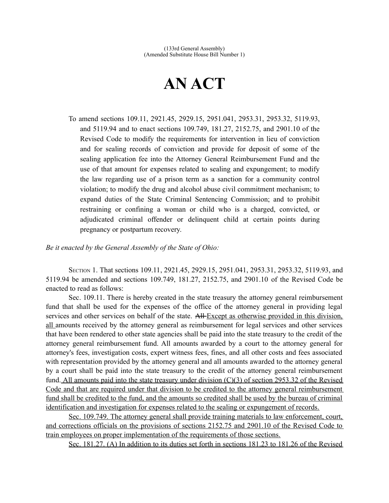## **AN ACT**

To amend sections 109.11, 2921.45, 2929.15, 2951.041, 2953.31, 2953.32, 5119.93, and 5119.94 and to enact sections 109.749, 181.27, 2152.75, and 2901.10 of the Revised Code to modify the requirements for intervention in lieu of conviction and for sealing records of conviction and provide for deposit of some of the sealing application fee into the Attorney General Reimbursement Fund and the use of that amount for expenses related to sealing and expungement; to modify the law regarding use of a prison term as a sanction for a community control violation; to modify the drug and alcohol abuse civil commitment mechanism; to expand duties of the State Criminal Sentencing Commission; and to prohibit restraining or confining a woman or child who is a charged, convicted, or adjudicated criminal offender or delinquent child at certain points during pregnancy or postpartum recovery.

*Be it enacted by the General Assembly of the State of Ohio:*

SECTION 1. That sections 109.11, 2921.45, 2929.15, 2951.041, 2953.31, 2953.32, 5119.93, and 5119.94 be amended and sections 109.749, 181.27, 2152.75, and 2901.10 of the Revised Code be enacted to read as follows:

Sec. 109.11. There is hereby created in the state treasury the attorney general reimbursement fund that shall be used for the expenses of the office of the attorney general in providing legal services and other services on behalf of the state. All Except as otherwise provided in this division, all amounts received by the attorney general as reimbursement for legal services and other services that have been rendered to other state agencies shall be paid into the state treasury to the credit of the attorney general reimbursement fund. All amounts awarded by a court to the attorney general for attorney's fees, investigation costs, expert witness fees, fines, and all other costs and fees associated with representation provided by the attorney general and all amounts awarded to the attorney general by a court shall be paid into the state treasury to the credit of the attorney general reimbursement fund. All amounts paid into the state treasury under division (C)(3) of section 2953.32 of the Revised Code and that are required under that division to be credited to the attorney general reimbursement fund shall be credited to the fund, and the amounts so credited shall be used by the bureau of criminal identification and investigation for expenses related to the sealing or expungement of records.

 Sec. 109.749. The attorney general shall provide training materials to law enforcement, court, and corrections officials on the provisions of sections 2152.75 and 2901.10 of the Revised Code to train employees on proper implementation of the requirements of those sections.

Sec. 181.27. (A) In addition to its duties set forth in sections 181.23 to 181.26 of the Revised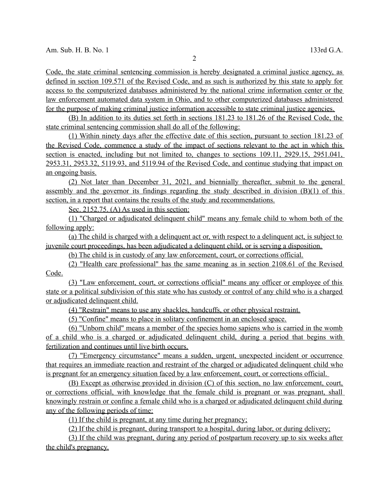Code, the state criminal sentencing commission is hereby designated a criminal justice agency, as defined in section 109.571 of the Revised Code, and as such is authorized by this state to apply for access to the computerized databases administered by the national crime information center or the law enforcement automated data system in Ohio, and to other computerized databases administered for the purpose of making criminal justice information accessible to state criminal justice agencies.

(B) In addition to its duties set forth in sections 181.23 to 181.26 of the Revised Code, the state criminal sentencing commission shall do all of the following:

(1) Within ninety days after the effective date of this section, pursuant to section 181.23 of the Revised Code, commence a study of the impact of sections relevant to the act in which this section is enacted, including but not limited to, changes to sections 109.11, 2929.15, 2951.041, 2953.31, 2953.32, 5119.93, and 5119.94 of the Revised Code, and continue studying that impact on an ongoing basis.

(2) Not later than December 31, 2021, and biennially thereafter, submit to the general assembly and the governor its findings regarding the study described in division (B)(1) of this section, in a report that contains the results of the study and recommendations.

Sec. 2152.75. (A) As used in this section:

(1) "Charged or adjudicated delinquent child" means any female child to whom both of the following apply:

(a) The child is charged with a delinquent act or, with respect to a delinquent act, is subject to juvenile court proceedings, has been adjudicated a delinquent child, or is serving a disposition.

(b) The child is in custody of any law enforcement, court, or corrections official.

(2) "Health care professional" has the same meaning as in section 2108.61 of the Revised Code.

(3) "Law enforcement, court, or corrections official" means any officer or employee of this state or a political subdivision of this state who has custody or control of any child who is a charged or adjudicated delinquent child.

(4) "Restrain" means to use any shackles, handcuffs, or other physical restraint.

(5) "Confine" means to place in solitary confinement in an enclosed space.

(6) "Unborn child" means a member of the species homo sapiens who is carried in the womb of a child who is a charged or adjudicated delinquent child, during a period that begins with fertilization and continues until live birth occurs.

(7) "Emergency circumstance" means a sudden, urgent, unexpected incident or occurrence that requires an immediate reaction and restraint of the charged or adjudicated delinquent child who is pregnant for an emergency situation faced by a law enforcement, court, or corrections official.

 (B) Except as otherwise provided in division (C) of this section, no law enforcement, court, or corrections official, with knowledge that the female child is pregnant or was pregnant, shall knowingly restrain or confine a female child who is a charged or adjudicated delinquent child during any of the following periods of time:

(1) If the child is pregnant, at any time during her pregnancy;

(2) If the child is pregnant, during transport to a hospital, during labor, or during delivery;

(3) If the child was pregnant, during any period of postpartum recovery up to six weeks after the child's pregnancy.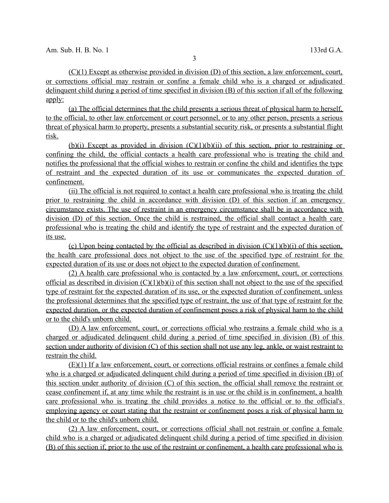(C)(1) Except as otherwise provided in division (D) of this section, a law enforcement, court, or corrections official may restrain or confine a female child who is a charged or adjudicated delinquent child during a period of time specified in division (B) of this section if all of the following apply:

(a) The official determines that the child presents a serious threat of physical harm to herself, to the official, to other law enforcement or court personnel, or to any other person, presents a serious threat of physical harm to property, presents a substantial security risk, or presents a substantial flight risk.

 $(b)(i)$  Except as provided in division  $(C)(1)(b)(ii)$  of this section, prior to restraining or confining the child, the official contacts a health care professional who is treating the child and notifies the professional that the official wishes to restrain or confine the child and identifies the type of restraint and the expected duration of its use or communicates the expected duration of confinement.

(ii) The official is not required to contact a health care professional who is treating the child prior to restraining the child in accordance with division (D) of this section if an emergency circumstance exists. The use of restraint in an emergency circumstance shall be in accordance with division (D) of this section. Once the child is restrained, the official shall contact a health care professional who is treating the child and identify the type of restraint and the expected duration of its use.

(c) Upon being contacted by the official as described in division  $(C)(1)(b)(i)$  of this section, the health care professional does not object to the use of the specified type of restraint for the expected duration of its use or does not object to the expected duration of confinement.

(2) A health care professional who is contacted by a law enforcement, court, or corrections official as described in division  $(C)(1)(b)(i)$  of this section shall not object to the use of the specified type of restraint for the expected duration of its use, or the expected duration of confinement, unless the professional determines that the specified type of restraint, the use of that type of restraint for the expected duration, or the expected duration of confinement poses a risk of physical harm to the child or to the child's unborn child.

(D) A law enforcement, court, or corrections official who restrains a female child who is a charged or adjudicated delinquent child during a period of time specified in division (B) of this section under authority of division (C) of this section shall not use any leg, ankle, or waist restraint to restrain the child.

 (E)(1) If a law enforcement, court, or corrections official restrains or confines a female child who is a charged or adjudicated delinquent child during a period of time specified in division (B) of this section under authority of division (C) of this section, the official shall remove the restraint or cease confinement if, at any time while the restraint is in use or the child is in confinement, a health care professional who is treating the child provides a notice to the official or to the official's employing agency or court stating that the restraint or confinement poses a risk of physical harm to the child or to the child's unborn child.

(2) A law enforcement, court, or corrections official shall not restrain or confine a female child who is a charged or adjudicated delinquent child during a period of time specified in division (B) of this section if, prior to the use of the restraint or confinement, a health care professional who is

3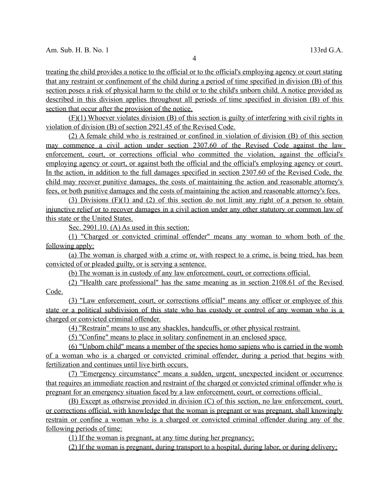treating the child provides a notice to the official or to the official's employing agency or court stating that any restraint or confinement of the child during a period of time specified in division (B) of this section poses a risk of physical harm to the child or to the child's unborn child. A notice provided as described in this division applies throughout all periods of time specified in division (B) of this section that occur after the provision of the notice.

(F)(1) Whoever violates division (B) of this section is guilty of interfering with civil rights in violation of division (B) of section 2921.45 of the Revised Code.

 (2) A female child who is restrained or confined in violation of division (B) of this section may commence a civil action under section 2307.60 of the Revised Code against the law enforcement, court, or corrections official who committed the violation, against the official's employing agency or court, or against both the official and the official's employing agency or court. In the action, in addition to the full damages specified in section 2307.60 of the Revised Code, the child may recover punitive damages, the costs of maintaining the action and reasonable attorney's fees, or both punitive damages and the costs of maintaining the action and reasonable attorney's fees.

(3) Divisions  $(F)(1)$  and (2) of this section do not limit any right of a person to obtain injunctive relief or to recover damages in a civil action under any other statutory or common law of this state or the United States.

Sec. 2901.10. (A) As used in this section:

(1) "Charged or convicted criminal offender" means any woman to whom both of the following apply:

(a) The woman is charged with a crime or, with respect to a crime, is being tried, has been convicted of or pleaded guilty, or is serving a sentence.

(b) The woman is in custody of any law enforcement, court, or corrections official.

(2) "Health care professional" has the same meaning as in section 2108.61 of the Revised Code.

(3) "Law enforcement, court, or corrections official" means any officer or employee of this state or a political subdivision of this state who has custody or control of any woman who is a charged or convicted criminal offender.

(4) "Restrain" means to use any shackles, handcuffs, or other physical restraint.

(5) "Confine" means to place in solitary confinement in an enclosed space.

(6) "Unborn child" means a member of the species homo sapiens who is carried in the womb of a woman who is a charged or convicted criminal offender, during a period that begins with fertilization and continues until live birth occurs.

(7) "Emergency circumstance" means a sudden, urgent, unexpected incident or occurrence that requires an immediate reaction and restraint of the charged or convicted criminal offender who is pregnant for an emergency situation faced by a law enforcement, court, or corrections official.

(B) Except as otherwise provided in division (C) of this section, no law enforcement, court, or corrections official, with knowledge that the woman is pregnant or was pregnant, shall knowingly restrain or confine a woman who is a charged or convicted criminal offender during any of the following periods of time:

(1) If the woman is pregnant, at any time during her pregnancy;

(2) If the woman is pregnant, during transport to a hospital, during labor, or during delivery;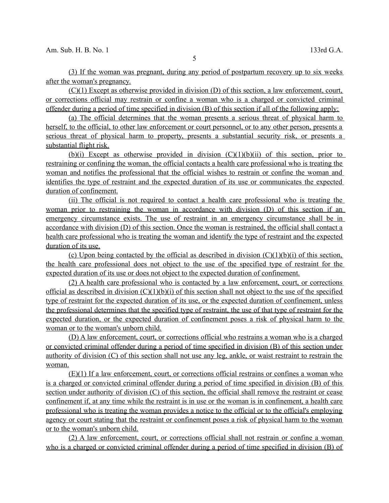(3) If the woman was pregnant, during any period of postpartum recovery up to six weeks after the woman's pregnancy.

(C)(1) Except as otherwise provided in division (D) of this section, a law enforcement, court, or corrections official may restrain or confine a woman who is a charged or convicted criminal offender during a period of time specified in division (B) of this section if all of the following apply:

 (a) The official determines that the woman presents a serious threat of physical harm to herself, to the official, to other law enforcement or court personnel, or to any other person, presents a serious threat of physical harm to property, presents a substantial security risk, or presents a substantial flight risk.

(b)(i) Except as otherwise provided in division  $(C)(1)(b)(ii)$  of this section, prior to restraining or confining the woman, the official contacts a health care professional who is treating the woman and notifies the professional that the official wishes to restrain or confine the woman and identifies the type of restraint and the expected duration of its use or communicates the expected duration of confinement.

(ii) The official is not required to contact a health care professional who is treating the woman prior to restraining the woman in accordance with division (D) of this section if an emergency circumstance exists. The use of restraint in an emergency circumstance shall be in accordance with division (D) of this section. Once the woman is restrained, the official shall contact a health care professional who is treating the woman and identify the type of restraint and the expected duration of its use.

(c) Upon being contacted by the official as described in division  $(C)(1)(b)(i)$  of this section, the health care professional does not object to the use of the specified type of restraint for the expected duration of its use or does not object to the expected duration of confinement.

(2) A health care professional who is contacted by a law enforcement, court, or corrections official as described in division  $(C)(1)(b)(i)$  of this section shall not object to the use of the specified type of restraint for the expected duration of its use, or the expected duration of confinement, unless the professional determines that the specified type of restraint, the use of that type of restraint for the expected duration, or the expected duration of confinement poses a risk of physical harm to the woman or to the woman's unborn child.

(D) A law enforcement, court, or corrections official who restrains a woman who is a charged or convicted criminal offender during a period of time specified in division (B) of this section under authority of division (C) of this section shall not use any leg, ankle, or waist restraint to restrain the woman.

(E)(1) If a law enforcement, court, or corrections official restrains or confines a woman who is a charged or convicted criminal offender during a period of time specified in division (B) of this section under authority of division (C) of this section, the official shall remove the restraint or cease confinement if, at any time while the restraint is in use or the woman is in confinement, a health care professional who is treating the woman provides a notice to the official or to the official's employing agency or court stating that the restraint or confinement poses a risk of physical harm to the woman or to the woman's unborn child.

(2) A law enforcement, court, or corrections official shall not restrain or confine a woman who is a charged or convicted criminal offender during a period of time specified in division (B) of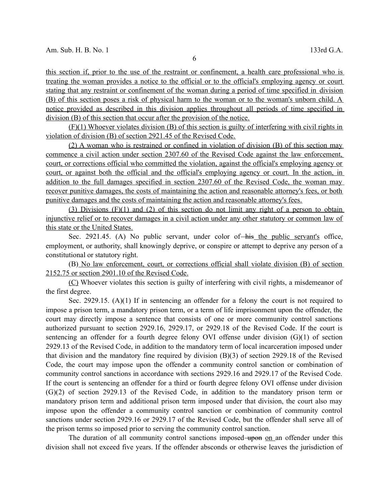this section if, prior to the use of the restraint or confinement, a health care professional who is treating the woman provides a notice to the official or to the official's employing agency or court stating that any restraint or confinement of the woman during a period of time specified in division (B) of this section poses a risk of physical harm to the woman or to the woman's unborn child. A notice provided as described in this division applies throughout all periods of time specified in division (B) of this section that occur after the provision of the notice.

(F)(1) Whoever violates division (B) of this section is guilty of interfering with civil rights in violation of division (B) of section 2921.45 of the Revised Code.

(2) A woman who is restrained or confined in violation of division (B) of this section may commence a civil action under section 2307.60 of the Revised Code against the law enforcement, court, or corrections official who committed the violation, against the official's employing agency or court, or against both the official and the official's employing agency or court. In the action, in addition to the full damages specified in section 2307.60 of the Revised Code, the woman may recover punitive damages, the costs of maintaining the action and reasonable attorney's fees, or both punitive damages and the costs of maintaining the action and reasonable attorney's fees.

(3) Divisions (F)(1) and (2) of this section do not limit any right of a person to obtain injunctive relief or to recover damages in a civil action under any other statutory or common law of this state or the United States.

Sec. 2921.45. (A) No public servant, under color of his the public servant's office, employment, or authority, shall knowingly deprive, or conspire or attempt to deprive any person of a constitutional or statutory right.

(B) No law enforcement, court, or corrections official shall violate division (B) of section 2152.75 or section 2901.10 of the Revised Code.

(C) Whoever violates this section is guilty of interfering with civil rights, a misdemeanor of the first degree.

Sec. 2929.15. (A)(1) If in sentencing an offender for a felony the court is not required to impose a prison term, a mandatory prison term, or a term of life imprisonment upon the offender, the court may directly impose a sentence that consists of one or more community control sanctions authorized pursuant to section 2929.16, 2929.17, or 2929.18 of the Revised Code. If the court is sentencing an offender for a fourth degree felony OVI offense under division (G)(1) of section 2929.13 of the Revised Code, in addition to the mandatory term of local incarceration imposed under that division and the mandatory fine required by division (B)(3) of section 2929.18 of the Revised Code, the court may impose upon the offender a community control sanction or combination of community control sanctions in accordance with sections 2929.16 and 2929.17 of the Revised Code. If the court is sentencing an offender for a third or fourth degree felony OVI offense under division (G)(2) of section 2929.13 of the Revised Code, in addition to the mandatory prison term or mandatory prison term and additional prison term imposed under that division, the court also may impose upon the offender a community control sanction or combination of community control sanctions under section 2929.16 or 2929.17 of the Revised Code, but the offender shall serve all of the prison terms so imposed prior to serving the community control sanction.

The duration of all community control sanctions imposed-upon on an offender under this division shall not exceed five years. If the offender absconds or otherwise leaves the jurisdiction of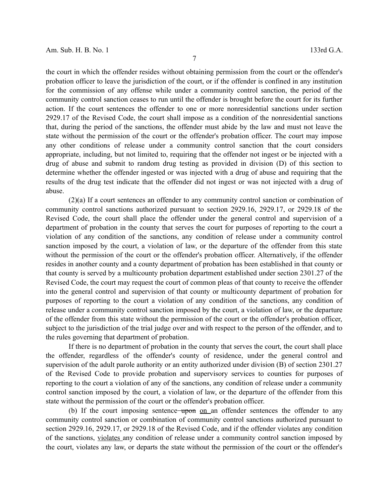the court in which the offender resides without obtaining permission from the court or the offender's probation officer to leave the jurisdiction of the court, or if the offender is confined in any institution for the commission of any offense while under a community control sanction, the period of the community control sanction ceases to run until the offender is brought before the court for its further action. If the court sentences the offender to one or more nonresidential sanctions under section 2929.17 of the Revised Code, the court shall impose as a condition of the nonresidential sanctions that, during the period of the sanctions, the offender must abide by the law and must not leave the state without the permission of the court or the offender's probation officer. The court may impose any other conditions of release under a community control sanction that the court considers appropriate, including, but not limited to, requiring that the offender not ingest or be injected with a drug of abuse and submit to random drug testing as provided in division (D) of this section to determine whether the offender ingested or was injected with a drug of abuse and requiring that the results of the drug test indicate that the offender did not ingest or was not injected with a drug of abuse.

(2)(a) If a court sentences an offender to any community control sanction or combination of community control sanctions authorized pursuant to section 2929.16, 2929.17, or 2929.18 of the Revised Code, the court shall place the offender under the general control and supervision of a department of probation in the county that serves the court for purposes of reporting to the court a violation of any condition of the sanctions, any condition of release under a community control sanction imposed by the court, a violation of law, or the departure of the offender from this state without the permission of the court or the offender's probation officer. Alternatively, if the offender resides in another county and a county department of probation has been established in that county or that county is served by a multicounty probation department established under section 2301.27 of the Revised Code, the court may request the court of common pleas of that county to receive the offender into the general control and supervision of that county or multicounty department of probation for purposes of reporting to the court a violation of any condition of the sanctions, any condition of release under a community control sanction imposed by the court, a violation of law, or the departure of the offender from this state without the permission of the court or the offender's probation officer, subject to the jurisdiction of the trial judge over and with respect to the person of the offender, and to the rules governing that department of probation.

If there is no department of probation in the county that serves the court, the court shall place the offender, regardless of the offender's county of residence, under the general control and supervision of the adult parole authority or an entity authorized under division (B) of section 2301.27 of the Revised Code to provide probation and supervisory services to counties for purposes of reporting to the court a violation of any of the sanctions, any condition of release under a community control sanction imposed by the court, a violation of law, or the departure of the offender from this state without the permission of the court or the offender's probation officer.

(b) If the court imposing sentence—upon on an offender sentences the offender to any community control sanction or combination of community control sanctions authorized pursuant to section 2929.16, 2929.17, or 2929.18 of the Revised Code, and if the offender violates any condition of the sanctions, violates any condition of release under a community control sanction imposed by the court, violates any law, or departs the state without the permission of the court or the offender's

7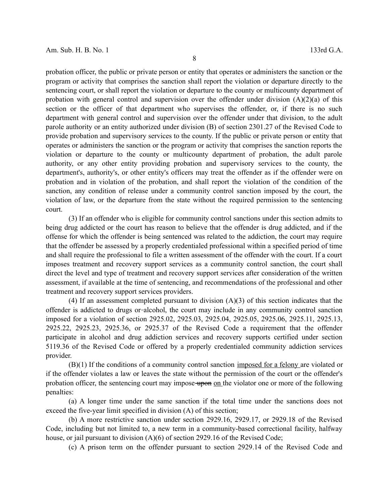probation officer, the public or private person or entity that operates or administers the sanction or the program or activity that comprises the sanction shall report the violation or departure directly to the sentencing court, or shall report the violation or departure to the county or multicounty department of probation with general control and supervision over the offender under division  $(A)(2)(a)$  of this section or the officer of that department who supervises the offender, or, if there is no such department with general control and supervision over the offender under that division, to the adult parole authority or an entity authorized under division (B) of section 2301.27 of the Revised Code to provide probation and supervisory services to the county. If the public or private person or entity that operates or administers the sanction or the program or activity that comprises the sanction reports the violation or departure to the county or multicounty department of probation, the adult parole authority, or any other entity providing probation and supervisory services to the county, the department's, authority's, or other entity's officers may treat the offender as if the offender were on probation and in violation of the probation, and shall report the violation of the condition of the sanction, any condition of release under a community control sanction imposed by the court, the violation of law, or the departure from the state without the required permission to the sentencing court.

(3) If an offender who is eligible for community control sanctions under this section admits to being drug addicted or the court has reason to believe that the offender is drug addicted, and if the offense for which the offender is being sentenced was related to the addiction, the court may require that the offender be assessed by a properly credentialed professional within a specified period of time and shall require the professional to file a written assessment of the offender with the court. If a court imposes treatment and recovery support services as a community control sanction, the court shall direct the level and type of treatment and recovery support services after consideration of the written assessment, if available at the time of sentencing, and recommendations of the professional and other treatment and recovery support services providers.

(4) If an assessment completed pursuant to division (A)(3) of this section indicates that the offender is addicted to drugs or alcohol, the court may include in any community control sanction imposed for a violation of section 2925.02, 2925.03, 2925.04, 2925.05, 2925.06, 2925.11, 2925.13, 2925.22, 2925.23, 2925.36, or 2925.37 of the Revised Code a requirement that the offender participate in alcohol and drug addiction services and recovery supports certified under section 5119.36 of the Revised Code or offered by a properly credentialed community addiction services provider.

(B)(1) If the conditions of a community control sanction imposed for a felony are violated or if the offender violates a law or leaves the state without the permission of the court or the offender's probation officer, the sentencing court may impose upon on the violator one or more of the following penalties:

(a) A longer time under the same sanction if the total time under the sanctions does not exceed the five-year limit specified in division (A) of this section;

(b) A more restrictive sanction under section 2929.16, 2929.17, or 2929.18 of the Revised Code, including but not limited to, a new term in a community-based correctional facility, halfway house, or jail pursuant to division (A)(6) of section 2929.16 of the Revised Code;

(c) A prison term on the offender pursuant to section 2929.14 of the Revised Code and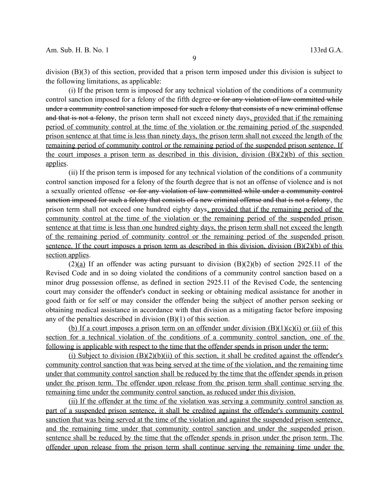division (B)(3) of this section, provided that a prison term imposed under this division is subject to the following limitations, as applicable:

(i) If the prison term is imposed for any technical violation of the conditions of a community control sanction imposed for a felony of the fifth degree or for any violation of law committed while under a community control sanction imposed for such a felony that consists of a new criminal offense and that is not a felony, the prison term shall not exceed ninety days, provided that if the remaining period of community control at the time of the violation or the remaining period of the suspended prison sentence at that time is less than ninety days, the prison term shall not exceed the length of the remaining period of community control or the remaining period of the suspended prison sentence. If the court imposes a prison term as described in this division, division  $(B)(2)(b)$  of this section applies.

(ii) If the prison term is imposed for any technical violation of the conditions of a community control sanction imposed for a felony of the fourth degree that is not an offense of violence and is not a sexually oriented offense <del>or for any violation of law committed while under a community control</del> sanction imposed for such a felony that consists of a new criminal offense and that is not a felony, the prison term shall not exceed one hundred eighty days, provided that if the remaining period of the community control at the time of the violation or the remaining period of the suspended prison sentence at that time is less than one hundred eighty days, the prison term shall not exceed the length of the remaining period of community control or the remaining period of the suspended prison sentence. If the court imposes a prison term as described in this division, division (B)(2)(b) of this section applies.

 $(2)(a)$  If an offender was acting pursuant to division  $(B)(2)(b)$  of section 2925.11 of the Revised Code and in so doing violated the conditions of a community control sanction based on a minor drug possession offense, as defined in section 2925.11 of the Revised Code, the sentencing court may consider the offender's conduct in seeking or obtaining medical assistance for another in good faith or for self or may consider the offender being the subject of another person seeking or obtaining medical assistance in accordance with that division as a mitigating factor before imposing any of the penalties described in division (B)(1) of this section.

(b) If a court imposes a prison term on an offender under division  $(B)(1)(c)(i)$  or (ii) of this section for a technical violation of the conditions of a community control sanction, one of the following is applicable with respect to the time that the offender spends in prison under the term:

(i) Subject to division  $(B)(2)(b)(ii)$  of this section, it shall be credited against the offender's community control sanction that was being served at the time of the violation, and the remaining time under that community control sanction shall be reduced by the time that the offender spends in prison under the prison term. The offender upon release from the prison term shall continue serving the remaining time under the community control sanction, as reduced under this division.

(ii) If the offender at the time of the violation was serving a community control sanction as part of a suspended prison sentence, it shall be credited against the offender's community control sanction that was being served at the time of the violation and against the suspended prison sentence, and the remaining time under that community control sanction and under the suspended prison sentence shall be reduced by the time that the offender spends in prison under the prison term. The offender upon release from the prison term shall continue serving the remaining time under the

9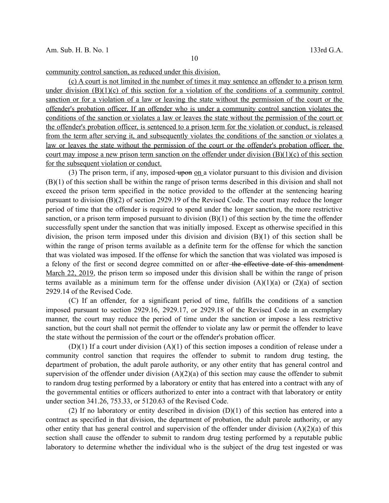community control sanction, as reduced under this division.

(c) A court is not limited in the number of times it may sentence an offender to a prison term under division  $(B)(1)(c)$  of this section for a violation of the conditions of a community control sanction or for a violation of a law or leaving the state without the permission of the court or the offender's probation officer. If an offender who is under a community control sanction violates the conditions of the sanction or violates a law or leaves the state without the permission of the court or the offender's probation officer, is sentenced to a prison term for the violation or conduct, is released from the term after serving it, and subsequently violates the conditions of the sanction or violates a law or leaves the state without the permission of the court or the offender's probation officer, the court may impose a new prison term sanction on the offender under division (B)(1)(c) of this section for the subsequent violation or conduct.

 $(3)$  The prison term, if any, imposed upon on a violator pursuant to this division and division (B)(1) of this section shall be within the range of prison terms described in this division and shall not exceed the prison term specified in the notice provided to the offender at the sentencing hearing pursuant to division (B)(2) of section 2929.19 of the Revised Code. The court may reduce the longer period of time that the offender is required to spend under the longer sanction, the more restrictive sanction, or a prison term imposed pursuant to division (B)(1) of this section by the time the offender successfully spent under the sanction that was initially imposed. Except as otherwise specified in this division, the prison term imposed under this division and division (B)(1) of this section shall be within the range of prison terms available as a definite term for the offense for which the sanction that was violated was imposed. If the offense for which the sanction that was violated was imposed is a felony of the first or second degree committed on or after-the effective date of this amendment March 22, 2019, the prison term so imposed under this division shall be within the range of prison terms available as a minimum term for the offense under division  $(A)(1)(a)$  or  $(2)(a)$  of section 2929.14 of the Revised Code.

(C) If an offender, for a significant period of time, fulfills the conditions of a sanction imposed pursuant to section 2929.16, 2929.17, or 2929.18 of the Revised Code in an exemplary manner, the court may reduce the period of time under the sanction or impose a less restrictive sanction, but the court shall not permit the offender to violate any law or permit the offender to leave the state without the permission of the court or the offender's probation officer.

 $(D)(1)$  If a court under division  $(A)(1)$  of this section imposes a condition of release under a community control sanction that requires the offender to submit to random drug testing, the department of probation, the adult parole authority, or any other entity that has general control and supervision of the offender under division  $(A)(2)(a)$  of this section may cause the offender to submit to random drug testing performed by a laboratory or entity that has entered into a contract with any of the governmental entities or officers authorized to enter into a contract with that laboratory or entity under section 341.26, 753.33, or 5120.63 of the Revised Code.

(2) If no laboratory or entity described in division  $(D)(1)$  of this section has entered into a contract as specified in that division, the department of probation, the adult parole authority, or any other entity that has general control and supervision of the offender under division  $(A)(2)(a)$  of this section shall cause the offender to submit to random drug testing performed by a reputable public laboratory to determine whether the individual who is the subject of the drug test ingested or was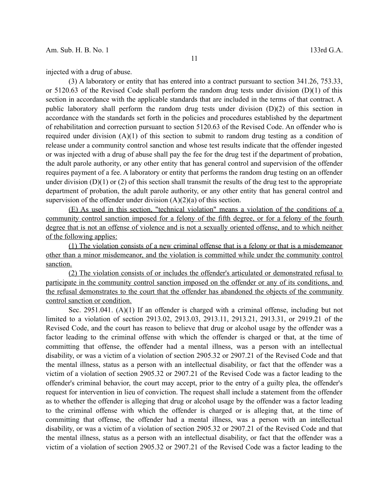injected with a drug of abuse.

(3) A laboratory or entity that has entered into a contract pursuant to section 341.26, 753.33, or 5120.63 of the Revised Code shall perform the random drug tests under division  $(D)(1)$  of this section in accordance with the applicable standards that are included in the terms of that contract. A public laboratory shall perform the random drug tests under division (D)(2) of this section in accordance with the standards set forth in the policies and procedures established by the department of rehabilitation and correction pursuant to section 5120.63 of the Revised Code. An offender who is required under division (A)(1) of this section to submit to random drug testing as a condition of release under a community control sanction and whose test results indicate that the offender ingested or was injected with a drug of abuse shall pay the fee for the drug test if the department of probation, the adult parole authority, or any other entity that has general control and supervision of the offender requires payment of a fee. A laboratory or entity that performs the random drug testing on an offender under division  $(D)(1)$  or  $(2)$  of this section shall transmit the results of the drug test to the appropriate department of probation, the adult parole authority, or any other entity that has general control and supervision of the offender under division  $(A)(2)(a)$  of this section.

(E) As used in this section, "technical violation" means a violation of the conditions of a community control sanction imposed for a felony of the fifth degree, or for a felony of the fourth degree that is not an offense of violence and is not a sexually oriented offense, and to which neither of the following applies:

(1) The violation consists of a new criminal offense that is a felony or that is a misdemeanor other than a minor misdemeanor, and the violation is committed while under the community control sanction.

(2) The violation consists of or includes the offender's articulated or demonstrated refusal to participate in the community control sanction imposed on the offender or any of its conditions, and the refusal demonstrates to the court that the offender has abandoned the objects of the community control sanction or condition.

Sec. 2951.041. (A)(1) If an offender is charged with a criminal offense, including but not limited to a violation of section 2913.02, 2913.03, 2913.11, 2913.21, 2913.31, or 2919.21 of the Revised Code, and the court has reason to believe that drug or alcohol usage by the offender was a factor leading to the criminal offense with which the offender is charged or that, at the time of committing that offense, the offender had a mental illness, was a person with an intellectual disability, or was a victim of a violation of section 2905.32 or 2907.21 of the Revised Code and that the mental illness, status as a person with an intellectual disability, or fact that the offender was a victim of a violation of section 2905.32 or 2907.21 of the Revised Code was a factor leading to the offender's criminal behavior, the court may accept, prior to the entry of a guilty plea, the offender's request for intervention in lieu of conviction. The request shall include a statement from the offender as to whether the offender is alleging that drug or alcohol usage by the offender was a factor leading to the criminal offense with which the offender is charged or is alleging that, at the time of committing that offense, the offender had a mental illness, was a person with an intellectual disability, or was a victim of a violation of section 2905.32 or 2907.21 of the Revised Code and that the mental illness, status as a person with an intellectual disability, or fact that the offender was a victim of a violation of section 2905.32 or 2907.21 of the Revised Code was a factor leading to the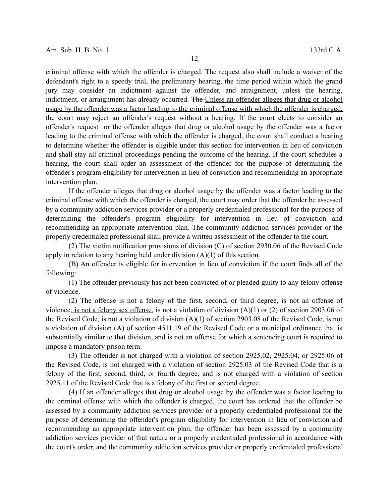criminal offense with which the offender is charged. The request also shall include a waiver of the defendant's right to a speedy trial, the preliminary hearing, the time period within which the grand jury may consider an indictment against the offender, and arraignment, unless the hearing, indictment, or arraignment has already occurred. The Unless an offender alleges that drug or alcohol usage by the offender was a factor leading to the criminal offense with which the offender is charged, the court may reject an offender's request without a hearing. If the court elects to consider an offender's request or the offender alleges that drug or alcohol usage by the offender was a factor leading to the criminal offense with which the offender is charged, the court shall conduct a hearing to determine whether the offender is eligible under this section for intervention in lieu of conviction and shall stay all criminal proceedings pending the outcome of the hearing. If the court schedules a hearing, the court shall order an assessment of the offender for the purpose of determining the offender's program eligibility for intervention in lieu of conviction and recommending an appropriate intervention plan.

If the offender alleges that drug or alcohol usage by the offender was a factor leading to the criminal offense with which the offender is charged, the court may order that the offender be assessed by a community addiction services provider or a properly credentialed professional for the purpose of determining the offender's program eligibility for intervention in lieu of conviction and recommending an appropriate intervention plan. The community addiction services provider or the properly credentialed professional shall provide a written assessment of the offender to the court.

(2) The victim notification provisions of division (C) of section 2930.06 of the Revised Code apply in relation to any hearing held under division  $(A)(1)$  of this section.

(B) An offender is eligible for intervention in lieu of conviction if the court finds all of the following:

(1) The offender previously has not been convicted of or pleaded guilty to any felony offense of violence.

(2) The offense is not a felony of the first, second, or third degree, is not an offense of violence, is not a felony sex offense, is not a violation of division (A)(1) or (2) of section 2903.06 of the Revised Code, is not a violation of division (A)(1) of section 2903.08 of the Revised Code, is not a violation of division (A) of section 4511.19 of the Revised Code or a municipal ordinance that is substantially similar to that division, and is not an offense for which a sentencing court is required to impose a mandatory prison term.

(3) The offender is not charged with a violation of section 2925.02, 2925.04, or 2925.06 of the Revised Code, is not charged with a violation of section 2925.03 of the Revised Code that is a felony of the first, second, third, or fourth degree, and is not charged with a violation of section 2925.11 of the Revised Code that is a felony of the first or second degree.

(4) If an offender alleges that drug or alcohol usage by the offender was a factor leading to the criminal offense with which the offender is charged, the court has ordered that the offender be assessed by a community addiction services provider or a properly credentialed professional for the purpose of determining the offender's program eligibility for intervention in lieu of conviction and recommending an appropriate intervention plan, the offender has been assessed by a community addiction services provider of that nature or a properly credentialed professional in accordance with the court's order, and the community addiction services provider or properly credentialed professional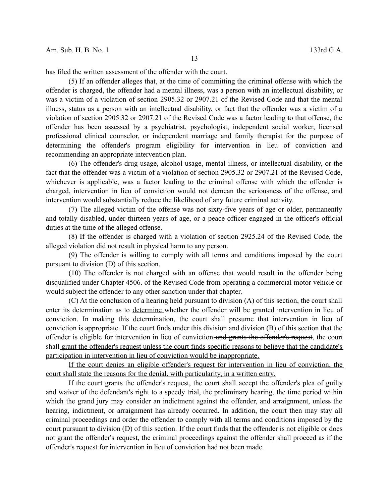has filed the written assessment of the offender with the court.

(5) If an offender alleges that, at the time of committing the criminal offense with which the offender is charged, the offender had a mental illness, was a person with an intellectual disability, or was a victim of a violation of section 2905.32 or 2907.21 of the Revised Code and that the mental illness, status as a person with an intellectual disability, or fact that the offender was a victim of a violation of section 2905.32 or 2907.21 of the Revised Code was a factor leading to that offense, the offender has been assessed by a psychiatrist, psychologist, independent social worker, licensed professional clinical counselor, or independent marriage and family therapist for the purpose of determining the offender's program eligibility for intervention in lieu of conviction and recommending an appropriate intervention plan.

(6) The offender's drug usage, alcohol usage, mental illness, or intellectual disability, or the fact that the offender was a victim of a violation of section 2905.32 or 2907.21 of the Revised Code, whichever is applicable, was a factor leading to the criminal offense with which the offender is charged, intervention in lieu of conviction would not demean the seriousness of the offense, and intervention would substantially reduce the likelihood of any future criminal activity.

(7) The alleged victim of the offense was not sixty-five years of age or older, permanently and totally disabled, under thirteen years of age, or a peace officer engaged in the officer's official duties at the time of the alleged offense.

(8) If the offender is charged with a violation of section 2925.24 of the Revised Code, the alleged violation did not result in physical harm to any person.

(9) The offender is willing to comply with all terms and conditions imposed by the court pursuant to division (D) of this section.

(10) The offender is not charged with an offense that would result in the offender being disqualified under Chapter 4506. of the Revised Code from operating a commercial motor vehicle or would subject the offender to any other sanction under that chapter.

(C) At the conclusion of a hearing held pursuant to division (A) of this section, the court shall enter its determination as to determine whether the offender will be granted intervention in lieu of conviction. In making this determination, the court shall presume that intervention in lieu of conviction is appropriate. If the court finds under this division and division (B) of this section that the offender is eligible for intervention in lieu of conviction and grants the offender's request, the court shall grant the offender's request unless the court finds specific reasons to believe that the candidate's participation in intervention in lieu of conviction would be inappropriate.

If the court denies an eligible offender's request for intervention in lieu of conviction, the court shall state the reasons for the denial, with particularity, in a written entry.

If the court grants the offender's request, the court shall accept the offender's plea of guilty and waiver of the defendant's right to a speedy trial, the preliminary hearing, the time period within which the grand jury may consider an indictment against the offender, and arraignment, unless the hearing, indictment, or arraignment has already occurred. In addition, the court then may stay all criminal proceedings and order the offender to comply with all terms and conditions imposed by the court pursuant to division (D) of this section. If the court finds that the offender is not eligible or does not grant the offender's request, the criminal proceedings against the offender shall proceed as if the offender's request for intervention in lieu of conviction had not been made.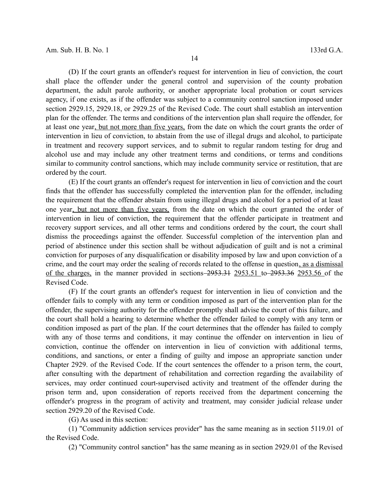(D) If the court grants an offender's request for intervention in lieu of conviction, the court shall place the offender under the general control and supervision of the county probation department, the adult parole authority, or another appropriate local probation or court services agency, if one exists, as if the offender was subject to a community control sanction imposed under section 2929.15, 2929.18, or 2929.25 of the Revised Code. The court shall establish an intervention plan for the offender. The terms and conditions of the intervention plan shall require the offender, for at least one year, but not more than five years, from the date on which the court grants the order of intervention in lieu of conviction, to abstain from the use of illegal drugs and alcohol, to participate in treatment and recovery support services, and to submit to regular random testing for drug and alcohol use and may include any other treatment terms and conditions, or terms and conditions similar to community control sanctions, which may include community service or restitution, that are ordered by the court.

(E) If the court grants an offender's request for intervention in lieu of conviction and the court finds that the offender has successfully completed the intervention plan for the offender, including the requirement that the offender abstain from using illegal drugs and alcohol for a period of at least one year, but not more than five years, from the date on which the court granted the order of intervention in lieu of conviction, the requirement that the offender participate in treatment and recovery support services, and all other terms and conditions ordered by the court, the court shall dismiss the proceedings against the offender. Successful completion of the intervention plan and period of abstinence under this section shall be without adjudication of guilt and is not a criminal conviction for purposes of any disqualification or disability imposed by law and upon conviction of a crime, and the court may order the sealing of records related to the offense in question, as a dismissal of the charges, in the manner provided in sections 2953.31 2953.51 to 2953.36 2953.56 of the Revised Code.

(F) If the court grants an offender's request for intervention in lieu of conviction and the offender fails to comply with any term or condition imposed as part of the intervention plan for the offender, the supervising authority for the offender promptly shall advise the court of this failure, and the court shall hold a hearing to determine whether the offender failed to comply with any term or condition imposed as part of the plan. If the court determines that the offender has failed to comply with any of those terms and conditions, it may continue the offender on intervention in lieu of conviction, continue the offender on intervention in lieu of conviction with additional terms, conditions, and sanctions, or enter a finding of guilty and impose an appropriate sanction under Chapter 2929. of the Revised Code. If the court sentences the offender to a prison term, the court, after consulting with the department of rehabilitation and correction regarding the availability of services, may order continued court-supervised activity and treatment of the offender during the prison term and, upon consideration of reports received from the department concerning the offender's progress in the program of activity and treatment, may consider judicial release under section 2929.20 of the Revised Code.

(G) As used in this section:

(1) "Community addiction services provider" has the same meaning as in section 5119.01 of the Revised Code.

(2) "Community control sanction" has the same meaning as in section 2929.01 of the Revised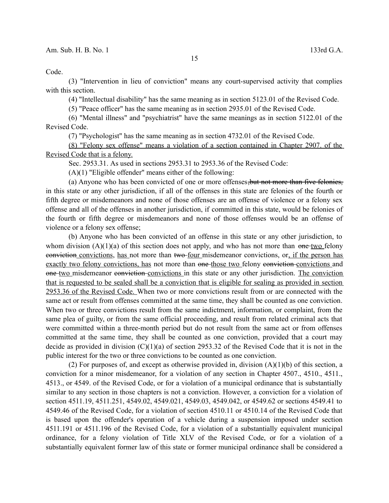Code.

(3) "Intervention in lieu of conviction" means any court-supervised activity that complies with this section.

(4) "Intellectual disability" has the same meaning as in section 5123.01 of the Revised Code.

(5) "Peace officer" has the same meaning as in section 2935.01 of the Revised Code.

(6) "Mental illness" and "psychiatrist" have the same meanings as in section 5122.01 of the Revised Code.

(7) "Psychologist" has the same meaning as in section 4732.01 of the Revised Code.

(8) "Felony sex offense" means a violation of a section contained in Chapter 2907. of the Revised Code that is a felony.

Sec. 2953.31. As used in sections 2953.31 to 2953.36 of the Revised Code:

 $(A)(1)$  "Eligible offender" means either of the following:

(a) Anyone who has been convicted of one or more offenses, but not more than five felonies, in this state or any other jurisdiction, if all of the offenses in this state are felonies of the fourth or fifth degree or misdemeanors and none of those offenses are an offense of violence or a felony sex offense and all of the offenses in another jurisdiction, if committed in this state, would be felonies of the fourth or fifth degree or misdemeanors and none of those offenses would be an offense of violence or a felony sex offense;

(b) Anyone who has been convicted of an offense in this state or any other jurisdiction, to whom division  $(A)(1)(a)$  of this section does not apply, and who has not more than one two felony conviction convictions, has not more than two-four misdemeanor convictions, or, if the person has exactly two felony convictions, has not more than one those two felony conviction-convictions and one two misdemeanor conviction-convictions in this state or any other jurisdiction. The conviction that is requested to be sealed shall be a conviction that is eligible for sealing as provided in section 2953.36 of the Revised Code. When two or more convictions result from or are connected with the same act or result from offenses committed at the same time, they shall be counted as one conviction. When two or three convictions result from the same indictment, information, or complaint, from the same plea of guilty, or from the same official proceeding, and result from related criminal acts that were committed within a three-month period but do not result from the same act or from offenses committed at the same time, they shall be counted as one conviction, provided that a court may decide as provided in division  $(C)(1)(a)$  of section 2953.32 of the Revised Code that it is not in the public interest for the two or three convictions to be counted as one conviction.

(2) For purposes of, and except as otherwise provided in, division  $(A)(1)(b)$  of this section, a conviction for a minor misdemeanor, for a violation of any section in Chapter 4507., 4510., 4511., 4513., or 4549. of the Revised Code, or for a violation of a municipal ordinance that is substantially similar to any section in those chapters is not a conviction. However, a conviction for a violation of section 4511.19, 4511.251, 4549.02, 4549.021, 4549.03, 4549.042, or 4549.62 or sections 4549.41 to 4549.46 of the Revised Code, for a violation of section 4510.11 or 4510.14 of the Revised Code that is based upon the offender's operation of a vehicle during a suspension imposed under section 4511.191 or 4511.196 of the Revised Code, for a violation of a substantially equivalent municipal ordinance, for a felony violation of Title XLV of the Revised Code, or for a violation of a substantially equivalent former law of this state or former municipal ordinance shall be considered a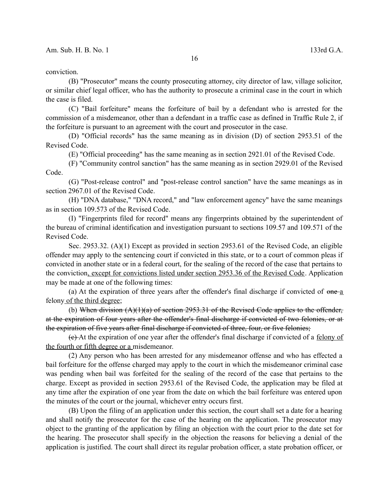conviction.

(B) "Prosecutor" means the county prosecuting attorney, city director of law, village solicitor, or similar chief legal officer, who has the authority to prosecute a criminal case in the court in which the case is filed.

(C) "Bail forfeiture" means the forfeiture of bail by a defendant who is arrested for the commission of a misdemeanor, other than a defendant in a traffic case as defined in Traffic Rule 2, if the forfeiture is pursuant to an agreement with the court and prosecutor in the case.

(D) "Official records" has the same meaning as in division (D) of section 2953.51 of the Revised Code.

(E) "Official proceeding" has the same meaning as in section 2921.01 of the Revised Code.

(F) "Community control sanction" has the same meaning as in section 2929.01 of the Revised Code.

(G) "Post-release control" and "post-release control sanction" have the same meanings as in section 2967.01 of the Revised Code.

(H) "DNA database," "DNA record," and "law enforcement agency" have the same meanings as in section 109.573 of the Revised Code.

(I) "Fingerprints filed for record" means any fingerprints obtained by the superintendent of the bureau of criminal identification and investigation pursuant to sections 109.57 and 109.571 of the Revised Code.

Sec. 2953.32. (A)(1) Except as provided in section 2953.61 of the Revised Code, an eligible offender may apply to the sentencing court if convicted in this state, or to a court of common pleas if convicted in another state or in a federal court, for the sealing of the record of the case that pertains to the conviction, except for convictions listed under section 2953.36 of the Revised Code. Application may be made at one of the following times:

(a) At the expiration of three years after the offender's final discharge if convicted of  $\theta$ felony of the third degree;

(b) When division  $(A)(1)(a)$  of section 2953.31 of the Revised Code applies to the offender, at the expiration of four years after the offender's final discharge if convicted of two felonies, or at the expiration of five years after final discharge if convicted of three, four, or five felonies;

 $(e)$  At the expiration of one year after the offender's final discharge if convicted of a felony of the fourth or fifth degree or a misdemeanor.

(2) Any person who has been arrested for any misdemeanor offense and who has effected a bail forfeiture for the offense charged may apply to the court in which the misdemeanor criminal case was pending when bail was forfeited for the sealing of the record of the case that pertains to the charge. Except as provided in section 2953.61 of the Revised Code, the application may be filed at any time after the expiration of one year from the date on which the bail forfeiture was entered upon the minutes of the court or the journal, whichever entry occurs first.

(B) Upon the filing of an application under this section, the court shall set a date for a hearing and shall notify the prosecutor for the case of the hearing on the application. The prosecutor may object to the granting of the application by filing an objection with the court prior to the date set for the hearing. The prosecutor shall specify in the objection the reasons for believing a denial of the application is justified. The court shall direct its regular probation officer, a state probation officer, or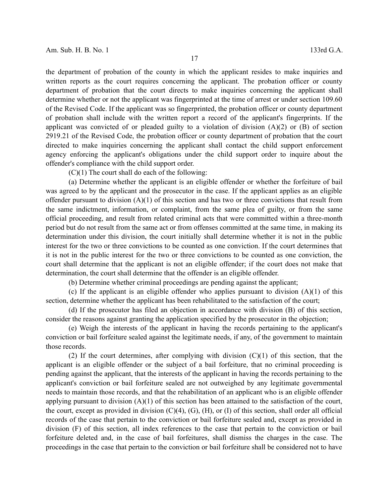the department of probation of the county in which the applicant resides to make inquiries and written reports as the court requires concerning the applicant. The probation officer or county department of probation that the court directs to make inquiries concerning the applicant shall determine whether or not the applicant was fingerprinted at the time of arrest or under section 109.60 of the Revised Code. If the applicant was so fingerprinted, the probation officer or county department of probation shall include with the written report a record of the applicant's fingerprints. If the applicant was convicted of or pleaded guilty to a violation of division  $(A)(2)$  or  $(B)$  of section 2919.21 of the Revised Code, the probation officer or county department of probation that the court directed to make inquiries concerning the applicant shall contact the child support enforcement agency enforcing the applicant's obligations under the child support order to inquire about the offender's compliance with the child support order.

 $(C)(1)$  The court shall do each of the following:

(a) Determine whether the applicant is an eligible offender or whether the forfeiture of bail was agreed to by the applicant and the prosecutor in the case. If the applicant applies as an eligible offender pursuant to division  $(A)(1)$  of this section and has two or three convictions that result from the same indictment, information, or complaint, from the same plea of guilty, or from the same official proceeding, and result from related criminal acts that were committed within a three-month period but do not result from the same act or from offenses committed at the same time, in making its determination under this division, the court initially shall determine whether it is not in the public interest for the two or three convictions to be counted as one conviction. If the court determines that it is not in the public interest for the two or three convictions to be counted as one conviction, the court shall determine that the applicant is not an eligible offender; if the court does not make that determination, the court shall determine that the offender is an eligible offender.

(b) Determine whether criminal proceedings are pending against the applicant;

(c) If the applicant is an eligible offender who applies pursuant to division  $(A)(1)$  of this section, determine whether the applicant has been rehabilitated to the satisfaction of the court;

(d) If the prosecutor has filed an objection in accordance with division (B) of this section, consider the reasons against granting the application specified by the prosecutor in the objection;

(e) Weigh the interests of the applicant in having the records pertaining to the applicant's conviction or bail forfeiture sealed against the legitimate needs, if any, of the government to maintain those records.

(2) If the court determines, after complying with division  $(C)(1)$  of this section, that the applicant is an eligible offender or the subject of a bail forfeiture, that no criminal proceeding is pending against the applicant, that the interests of the applicant in having the records pertaining to the applicant's conviction or bail forfeiture sealed are not outweighed by any legitimate governmental needs to maintain those records, and that the rehabilitation of an applicant who is an eligible offender applying pursuant to division  $(A)(1)$  of this section has been attained to the satisfaction of the court, the court, except as provided in division  $(C)(4)$ ,  $(G)$ ,  $(H)$ , or  $(I)$  of this section, shall order all official records of the case that pertain to the conviction or bail forfeiture sealed and, except as provided in division (F) of this section, all index references to the case that pertain to the conviction or bail forfeiture deleted and, in the case of bail forfeitures, shall dismiss the charges in the case. The proceedings in the case that pertain to the conviction or bail forfeiture shall be considered not to have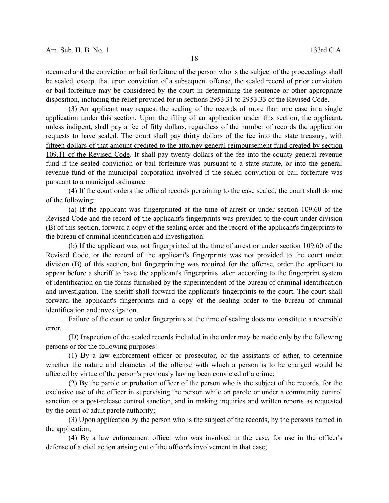occurred and the conviction or bail forfeiture of the person who is the subject of the proceedings shall be sealed, except that upon conviction of a subsequent offense, the sealed record of prior conviction or bail forfeiture may be considered by the court in determining the sentence or other appropriate disposition, including the relief provided for in sections 2953.31 to 2953.33 of the Revised Code.

(3) An applicant may request the sealing of the records of more than one case in a single application under this section. Upon the filing of an application under this section, the applicant, unless indigent, shall pay a fee of fifty dollars, regardless of the number of records the application requests to have sealed. The court shall pay thirty dollars of the fee into the state treasury, with fifteen dollars of that amount credited to the attorney general reimbursement fund created by section 109.11 of the Revised Code. It shall pay twenty dollars of the fee into the county general revenue fund if the sealed conviction or bail forfeiture was pursuant to a state statute, or into the general revenue fund of the municipal corporation involved if the sealed conviction or bail forfeiture was pursuant to a municipal ordinance.

(4) If the court orders the official records pertaining to the case sealed, the court shall do one of the following:

(a) If the applicant was fingerprinted at the time of arrest or under section 109.60 of the Revised Code and the record of the applicant's fingerprints was provided to the court under division (B) of this section, forward a copy of the sealing order and the record of the applicant's fingerprints to the bureau of criminal identification and investigation.

(b) If the applicant was not fingerprinted at the time of arrest or under section 109.60 of the Revised Code, or the record of the applicant's fingerprints was not provided to the court under division (B) of this section, but fingerprinting was required for the offense, order the applicant to appear before a sheriff to have the applicant's fingerprints taken according to the fingerprint system of identification on the forms furnished by the superintendent of the bureau of criminal identification and investigation. The sheriff shall forward the applicant's fingerprints to the court. The court shall forward the applicant's fingerprints and a copy of the sealing order to the bureau of criminal identification and investigation.

Failure of the court to order fingerprints at the time of sealing does not constitute a reversible error.

(D) Inspection of the sealed records included in the order may be made only by the following persons or for the following purposes:

(1) By a law enforcement officer or prosecutor, or the assistants of either, to determine whether the nature and character of the offense with which a person is to be charged would be affected by virtue of the person's previously having been convicted of a crime;

(2) By the parole or probation officer of the person who is the subject of the records, for the exclusive use of the officer in supervising the person while on parole or under a community control sanction or a post-release control sanction, and in making inquiries and written reports as requested by the court or adult parole authority;

(3) Upon application by the person who is the subject of the records, by the persons named in the application;

(4) By a law enforcement officer who was involved in the case, for use in the officer's defense of a civil action arising out of the officer's involvement in that case;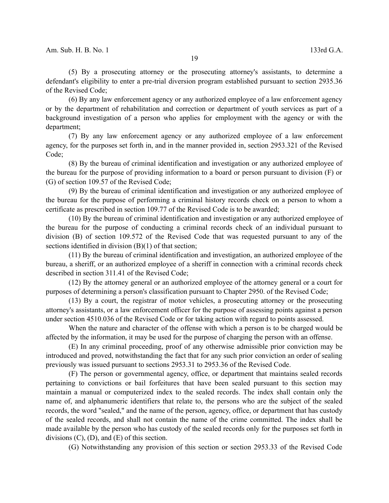(5) By a prosecuting attorney or the prosecuting attorney's assistants, to determine a defendant's eligibility to enter a pre-trial diversion program established pursuant to section 2935.36 of the Revised Code;

(6) By any law enforcement agency or any authorized employee of a law enforcement agency or by the department of rehabilitation and correction or department of youth services as part of a background investigation of a person who applies for employment with the agency or with the department;

(7) By any law enforcement agency or any authorized employee of a law enforcement agency, for the purposes set forth in, and in the manner provided in, section 2953.321 of the Revised Code;

(8) By the bureau of criminal identification and investigation or any authorized employee of the bureau for the purpose of providing information to a board or person pursuant to division (F) or (G) of section 109.57 of the Revised Code;

(9) By the bureau of criminal identification and investigation or any authorized employee of the bureau for the purpose of performing a criminal history records check on a person to whom a certificate as prescribed in section 109.77 of the Revised Code is to be awarded;

(10) By the bureau of criminal identification and investigation or any authorized employee of the bureau for the purpose of conducting a criminal records check of an individual pursuant to division (B) of section 109.572 of the Revised Code that was requested pursuant to any of the sections identified in division (B)(1) of that section;

(11) By the bureau of criminal identification and investigation, an authorized employee of the bureau, a sheriff, or an authorized employee of a sheriff in connection with a criminal records check described in section 311.41 of the Revised Code;

(12) By the attorney general or an authorized employee of the attorney general or a court for purposes of determining a person's classification pursuant to Chapter 2950. of the Revised Code;

(13) By a court, the registrar of motor vehicles, a prosecuting attorney or the prosecuting attorney's assistants, or a law enforcement officer for the purpose of assessing points against a person under section 4510.036 of the Revised Code or for taking action with regard to points assessed.

When the nature and character of the offense with which a person is to be charged would be affected by the information, it may be used for the purpose of charging the person with an offense.

(E) In any criminal proceeding, proof of any otherwise admissible prior conviction may be introduced and proved, notwithstanding the fact that for any such prior conviction an order of sealing previously was issued pursuant to sections 2953.31 to 2953.36 of the Revised Code.

(F) The person or governmental agency, office, or department that maintains sealed records pertaining to convictions or bail forfeitures that have been sealed pursuant to this section may maintain a manual or computerized index to the sealed records. The index shall contain only the name of, and alphanumeric identifiers that relate to, the persons who are the subject of the sealed records, the word "sealed," and the name of the person, agency, office, or department that has custody of the sealed records, and shall not contain the name of the crime committed. The index shall be made available by the person who has custody of the sealed records only for the purposes set forth in divisions (C), (D), and (E) of this section.

(G) Notwithstanding any provision of this section or section 2953.33 of the Revised Code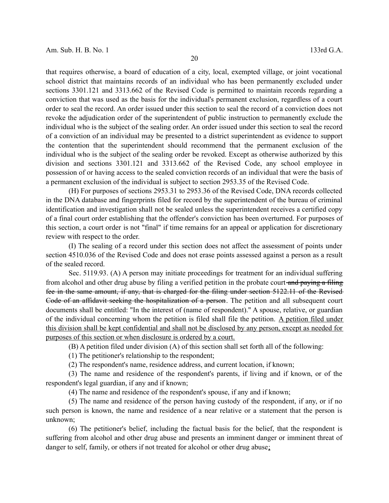that requires otherwise, a board of education of a city, local, exempted village, or joint vocational school district that maintains records of an individual who has been permanently excluded under sections 3301.121 and 3313.662 of the Revised Code is permitted to maintain records regarding a conviction that was used as the basis for the individual's permanent exclusion, regardless of a court order to seal the record. An order issued under this section to seal the record of a conviction does not revoke the adjudication order of the superintendent of public instruction to permanently exclude the individual who is the subject of the sealing order. An order issued under this section to seal the record of a conviction of an individual may be presented to a district superintendent as evidence to support the contention that the superintendent should recommend that the permanent exclusion of the individual who is the subject of the sealing order be revoked. Except as otherwise authorized by this division and sections 3301.121 and 3313.662 of the Revised Code, any school employee in possession of or having access to the sealed conviction records of an individual that were the basis of a permanent exclusion of the individual is subject to section 2953.35 of the Revised Code.

(H) For purposes of sections 2953.31 to 2953.36 of the Revised Code, DNA records collected in the DNA database and fingerprints filed for record by the superintendent of the bureau of criminal identification and investigation shall not be sealed unless the superintendent receives a certified copy of a final court order establishing that the offender's conviction has been overturned. For purposes of this section, a court order is not "final" if time remains for an appeal or application for discretionary review with respect to the order.

(I) The sealing of a record under this section does not affect the assessment of points under section 4510.036 of the Revised Code and does not erase points assessed against a person as a result of the sealed record.

Sec. 5119.93. (A) A person may initiate proceedings for treatment for an individual suffering from alcohol and other drug abuse by filing a verified petition in the probate court and paying a filing fee in the same amount, if any, that is charged for the filing under section 5122.11 of the Revised Code of an affidavit seeking the hospitalization of a person. The petition and all subsequent court documents shall be entitled: "In the interest of (name of respondent)." A spouse, relative, or guardian of the individual concerning whom the petition is filed shall file the petition. A petition filed under this division shall be kept confidential and shall not be disclosed by any person, except as needed for purposes of this section or when disclosure is ordered by a court.

(B) A petition filed under division (A) of this section shall set forth all of the following:

(1) The petitioner's relationship to the respondent;

(2) The respondent's name, residence address, and current location, if known;

(3) The name and residence of the respondent's parents, if living and if known, or of the respondent's legal guardian, if any and if known;

(4) The name and residence of the respondent's spouse, if any and if known;

(5) The name and residence of the person having custody of the respondent, if any, or if no such person is known, the name and residence of a near relative or a statement that the person is unknown;

(6) The petitioner's belief, including the factual basis for the belief, that the respondent is suffering from alcohol and other drug abuse and presents an imminent danger or imminent threat of danger to self, family, or others if not treated for alcohol or other drug abuse;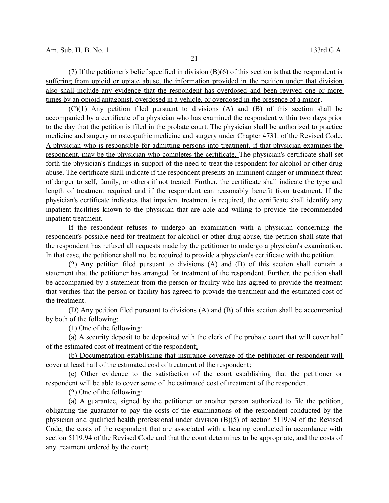(7) If the petitioner's belief specified in division (B)(6) of this section is that the respondent is suffering from opioid or opiate abuse, the information provided in the petition under that division also shall include any evidence that the respondent has overdosed and been revived one or more times by an opioid antagonist, overdosed in a vehicle, or overdosed in the presence of a minor.

(C)(1) Any petition filed pursuant to divisions (A) and (B) of this section shall be accompanied by a certificate of a physician who has examined the respondent within two days prior to the day that the petition is filed in the probate court. The physician shall be authorized to practice medicine and surgery or osteopathic medicine and surgery under Chapter 4731. of the Revised Code. A physician who is responsible for admitting persons into treatment, if that physician examines the respondent, may be the physician who completes the certificate. The physician's certificate shall set forth the physician's findings in support of the need to treat the respondent for alcohol or other drug abuse. The certificate shall indicate if the respondent presents an imminent danger or imminent threat of danger to self, family, or others if not treated. Further, the certificate shall indicate the type and length of treatment required and if the respondent can reasonably benefit from treatment. If the physician's certificate indicates that inpatient treatment is required, the certificate shall identify any inpatient facilities known to the physician that are able and willing to provide the recommended inpatient treatment.

If the respondent refuses to undergo an examination with a physician concerning the respondent's possible need for treatment for alcohol or other drug abuse, the petition shall state that the respondent has refused all requests made by the petitioner to undergo a physician's examination. In that case, the petitioner shall not be required to provide a physician's certificate with the petition.

(2) Any petition filed pursuant to divisions (A) and (B) of this section shall contain a statement that the petitioner has arranged for treatment of the respondent. Further, the petition shall be accompanied by a statement from the person or facility who has agreed to provide the treatment that verifies that the person or facility has agreed to provide the treatment and the estimated cost of the treatment.

(D) Any petition filed pursuant to divisions (A) and (B) of this section shall be accompanied by both of the following:

(1) One of the following:

(a) A security deposit to be deposited with the clerk of the probate court that will cover half of the estimated cost of treatment of the respondent;

(b) Documentation establishing that insurance coverage of the petitioner or respondent will cover at least half of the estimated cost of treatment of the respondent;

(c) Other evidence to the satisfaction of the court establishing that the petitioner or respondent will be able to cover some of the estimated cost of treatment of the respondent.

(2) One of the following:

(a) A guarantee, signed by the petitioner or another person authorized to file the petition, obligating the guarantor to pay the costs of the examinations of the respondent conducted by the physician and qualified health professional under division (B)(5) of section 5119.94 of the Revised Code, the costs of the respondent that are associated with a hearing conducted in accordance with section 5119.94 of the Revised Code and that the court determines to be appropriate, and the costs of any treatment ordered by the court;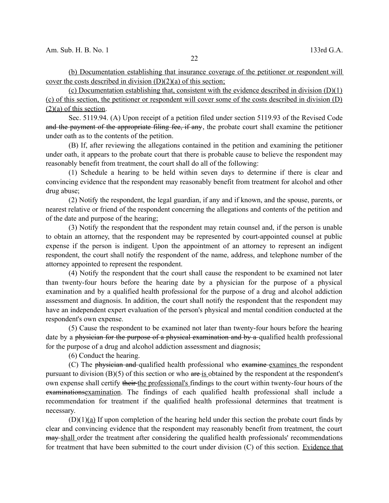(b) Documentation establishing that insurance coverage of the petitioner or respondent will cover the costs described in division  $(D)(2)(a)$  of this section;

(c) Documentation establishing that, consistent with the evidence described in division (D)(1) (c) of this section, the petitioner or respondent will cover some of the costs described in division (D)  $(2)(a)$  of this section.

Sec. 5119.94. (A) Upon receipt of a petition filed under section 5119.93 of the Revised Code and the payment of the appropriate filing fee, if any, the probate court shall examine the petitioner under oath as to the contents of the petition.

(B) If, after reviewing the allegations contained in the petition and examining the petitioner under oath, it appears to the probate court that there is probable cause to believe the respondent may reasonably benefit from treatment, the court shall do all of the following:

(1) Schedule a hearing to be held within seven days to determine if there is clear and convincing evidence that the respondent may reasonably benefit from treatment for alcohol and other drug abuse;

(2) Notify the respondent, the legal guardian, if any and if known, and the spouse, parents, or nearest relative or friend of the respondent concerning the allegations and contents of the petition and of the date and purpose of the hearing;

(3) Notify the respondent that the respondent may retain counsel and, if the person is unable to obtain an attorney, that the respondent may be represented by court-appointed counsel at public expense if the person is indigent. Upon the appointment of an attorney to represent an indigent respondent, the court shall notify the respondent of the name, address, and telephone number of the attorney appointed to represent the respondent.

(4) Notify the respondent that the court shall cause the respondent to be examined not later than twenty-four hours before the hearing date by a physician for the purpose of a physical examination and by a qualified health professional for the purpose of a drug and alcohol addiction assessment and diagnosis. In addition, the court shall notify the respondent that the respondent may have an independent expert evaluation of the person's physical and mental condition conducted at the respondent's own expense.

(5) Cause the respondent to be examined not later than twenty-four hours before the hearing date by a physician for the purpose of a physical examination and by a qualified health professional for the purpose of a drug and alcohol addiction assessment and diagnosis;

(6) Conduct the hearing.

(C) The physician and qualified health professional who examines the respondent pursuant to division (B)(5) of this section or who are is obtained by the respondent at the respondent's own expense shall certify their the professional's findings to the court within twenty-four hours of the examinationsexamination. The findings of each qualified health professional shall include a recommendation for treatment if the qualified health professional determines that treatment is necessary.

 $(D)(1)(a)$  If upon completion of the hearing held under this section the probate court finds by clear and convincing evidence that the respondent may reasonably benefit from treatment, the court may shall order the treatment after considering the qualified health professionals' recommendations for treatment that have been submitted to the court under division (C) of this section. Evidence that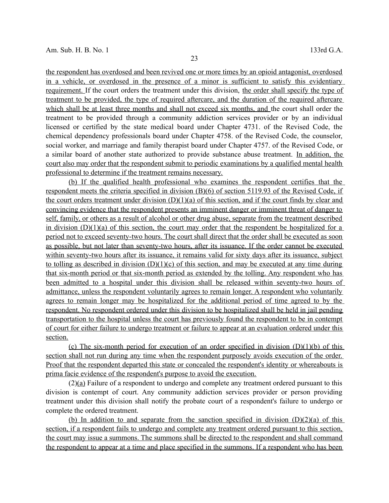the respondent has overdosed and been revived one or more times by an opioid antagonist, overdosed in a vehicle, or overdosed in the presence of a minor is sufficient to satisfy this evidentiary requirement. If the court orders the treatment under this division, the order shall specify the type of treatment to be provided, the type of required aftercare, and the duration of the required aftercare which shall be at least three months and shall not exceed six months, and the court shall order the treatment to be provided through a community addiction services provider or by an individual licensed or certified by the state medical board under Chapter 4731. of the Revised Code, the chemical dependency professionals board under Chapter 4758. of the Revised Code, the counselor, social worker, and marriage and family therapist board under Chapter 4757. of the Revised Code, or a similar board of another state authorized to provide substance abuse treatment. In addition, the court also may order that the respondent submit to periodic examinations by a qualified mental health professional to determine if the treatment remains necessary.

(b) If the qualified health professional who examines the respondent certifies that the respondent meets the criteria specified in division (B)(6) of section 5119.93 of the Revised Code, if the court orders treatment under division  $(D)(1)(a)$  of this section, and if the court finds by clear and convincing evidence that the respondent presents an imminent danger or imminent threat of danger to self, family, or others as a result of alcohol or other drug abuse, separate from the treatment described in division  $(D)(1)(a)$  of this section, the court may order that the respondent be hospitalized for a period not to exceed seventy-two hours. The court shall direct that the order shall be executed as soon as possible, but not later than seventy-two hours, after its issuance. If the order cannot be executed within seventy-two hours after its issuance, it remains valid for sixty days after its issuance, subject to tolling as described in division  $(D)(1)(c)$  of this section, and may be executed at any time during that six-month period or that six-month period as extended by the tolling. Any respondent who has been admitted to a hospital under this division shall be released within seventy-two hours of admittance, unless the respondent voluntarily agrees to remain longer. A respondent who voluntarily agrees to remain longer may be hospitalized for the additional period of time agreed to by the respondent. No respondent ordered under this division to be hospitalized shall be held in jail pending transportation to the hospital unless the court has previously found the respondent to be in contempt of court for either failure to undergo treatment or failure to appear at an evaluation ordered under this section.

(c) The six-month period for execution of an order specified in division  $(D)(1)(b)$  of this section shall not run during any time when the respondent purposely avoids execution of the order. Proof that the respondent departed this state or concealed the respondent's identity or whereabouts is prima facie evidence of the respondent's purpose to avoid the execution.

(2)(a) Failure of a respondent to undergo and complete any treatment ordered pursuant to this division is contempt of court. Any community addiction services provider or person providing treatment under this division shall notify the probate court of a respondent's failure to undergo or complete the ordered treatment.

(b) In addition to and separate from the sanction specified in division  $(D)(2)(a)$  of this section, if a respondent fails to undergo and complete any treatment ordered pursuant to this section, the court may issue a summons. The summons shall be directed to the respondent and shall command the respondent to appear at a time and place specified in the summons. If a respondent who has been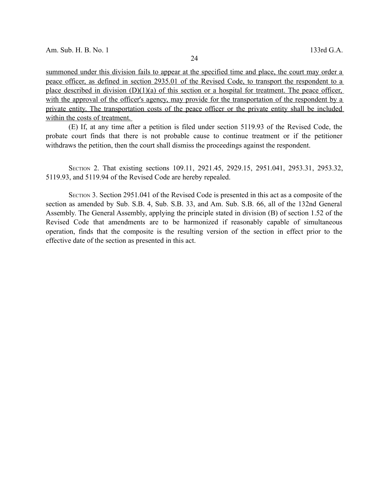summoned under this division fails to appear at the specified time and place, the court may order a peace officer, as defined in section 2935.01 of the Revised Code, to transport the respondent to a place described in division  $(D)(1)(a)$  of this section or a hospital for treatment. The peace officer, with the approval of the officer's agency, may provide for the transportation of the respondent by a private entity. The transportation costs of the peace officer or the private entity shall be included within the costs of treatment.

(E) If, at any time after a petition is filed under section 5119.93 of the Revised Code, the probate court finds that there is not probable cause to continue treatment or if the petitioner withdraws the petition, then the court shall dismiss the proceedings against the respondent.

SECTION 2. That existing sections 109.11, 2921.45, 2929.15, 2951.041, 2953.31, 2953.32, 5119.93, and 5119.94 of the Revised Code are hereby repealed.

SECTION 3. Section 2951.041 of the Revised Code is presented in this act as a composite of the section as amended by Sub. S.B. 4, Sub. S.B. 33, and Am. Sub. S.B. 66, all of the 132nd General Assembly. The General Assembly, applying the principle stated in division (B) of section 1.52 of the Revised Code that amendments are to be harmonized if reasonably capable of simultaneous operation, finds that the composite is the resulting version of the section in effect prior to the effective date of the section as presented in this act.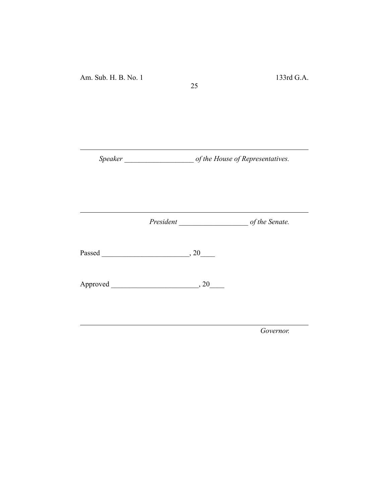*Speaker \_\_\_\_\_\_\_\_\_\_\_\_\_\_\_\_\_\_\_ of the House of Representatives.*

25

*President \_\_\_\_\_\_\_\_\_\_\_\_\_\_\_\_\_\_\_ of the Senate.*

Passed \_\_\_\_\_\_\_\_\_\_\_\_\_\_\_\_\_\_\_\_\_\_\_\_, 20\_\_\_\_

Approved \_\_\_\_\_\_\_\_\_\_\_\_\_\_\_\_\_\_\_\_\_\_\_\_, 20\_\_\_\_

*Governor.*